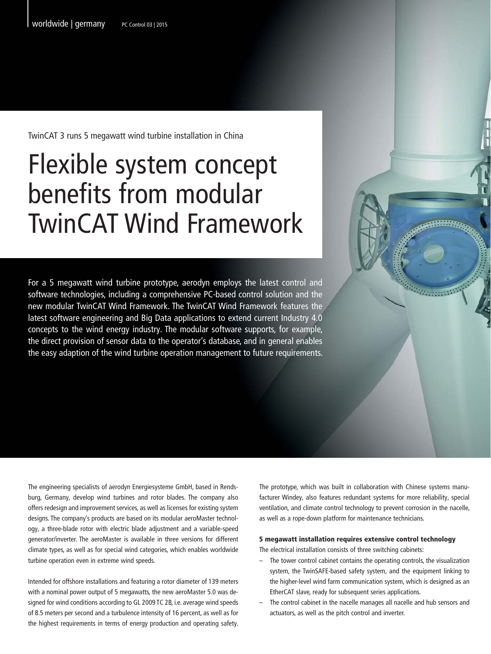TwinCAT 3 runs 5 megawatt wind turbine installation in China

## Flexible system concept benefits from modular TwinCAT Wind Framework

For a 5 megawatt wind turbine prototype, aerodyn employs the latest control and software technologies, including a comprehensive PC-based control solution and the new modular TwinCAT Wind Framework. The TwinCAT Wind Framework features the latest software engineering and Big Data applications to extend current Industry 4.0 concepts to the wind energy industry. The modular software supports, for example, the direct provision of sensor data to the operator's database, and in general enables the easy adaption of the wind turbine operation management to future requirements.

> The prototype, which was built in collaboration with Chinese systems manufacturer Windey, also features redundant systems for more reliability, special ventilation, and climate control technology to prevent corrosion in the nacelle, as well as a rope-down platform for maintenance technicians.

## 5 megawatt installation requires extensive control technology

The electrical installation consists of three switching cabinets:

- The tower control cabinet contains the operating controls, the visualization system, the TwinSAFE-based safety system, and the equipment linking to the higher-level wind farm communication system, which is designed as an EtherCAT slave, ready for subsequent series applications.
- The control cabinet in the nacelle manages all nacelle and hub sensors and actuators, as well as the pitch control and inverter.

The engineering specialists of aerodyn Energiesysteme GmbH, based in Rendsburg, Germany, develop wind turbines and rotor blades. The company also offers redesign and improvement services, as well as licenses for existing system designs. The company's products are based on its modular aeroMaster technology, a three-blade rotor with electric blade adjustment and a variable-speed generator/inverter. The aeroMaster is available in three versions for different climate types, as well as for special wind categories, which enables worldwide turbine operation even in extreme wind speeds.

Intended for offshore installations and featuring a rotor diameter of 139 meters with a nominal power output of 5 megawatts, the new aeroMaster 5.0 was designed for wind conditions according to GL 2009 TC 2B, i.e. average wind speeds of 8.5 meters per second and a turbulence intensity of 16 percent, as well as for the highest requirements in terms of energy production and operating safety.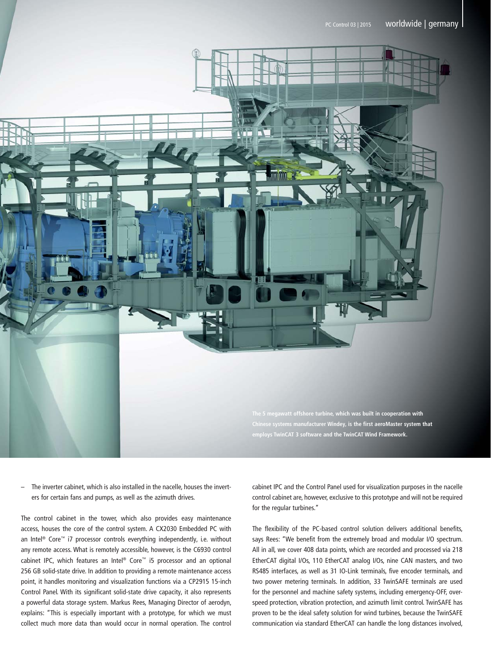

– The inverter cabinet, which is also installed in the nacelle, houses the inverters for certain fans and pumps, as well as the azimuth drives.

The control cabinet in the tower, which also provides easy maintenance access, houses the core of the control system. A CX2030 Embedded PC with an Intel<sup>®</sup> Core™ i7 processor controls everything independently, i.e. without any remote access. What is remotely accessible, however, is the C6930 control cabinet IPC, which features an Intel® Core™ i5 processor and an optional 256 GB solid-state drive. In addition to providing a remote maintenance access point, it handles monitoring and visualization functions via a CP2915 15-inch Control Panel. With its significant solid-state drive capacity, it also represents a powerful data storage system. Markus Rees, Managing Director of aerodyn, explains: "This is especially important with a prototype, for which we must collect much more data than would occur in normal operation. The control cabinet IPC and the Control Panel used for visualization purposes in the nacelle control cabinet are, however, exclusive to this prototype and will not be required for the regular turbines."

The flexibility of the PC-based control solution delivers additional benefits, says Rees: "We benefit from the extremely broad and modular I/O spectrum. All in all, we cover 408 data points, which are recorded and processed via 218 EtherCAT digital I/Os, 110 EtherCAT analog I/Os, nine CAN masters, and two RS485 interfaces, as well as 31 IO-Link terminals, five encoder terminals, and two power metering terminals. In addition, 33 TwinSAFE terminals are used for the personnel and machine safety systems, including emergency-OFF, overspeed protection, vibration protection, and azimuth limit control. TwinSAFE has proven to be the ideal safety solution for wind turbines, because the TwinSAFE communication via standard EtherCAT can handle the long distances involved,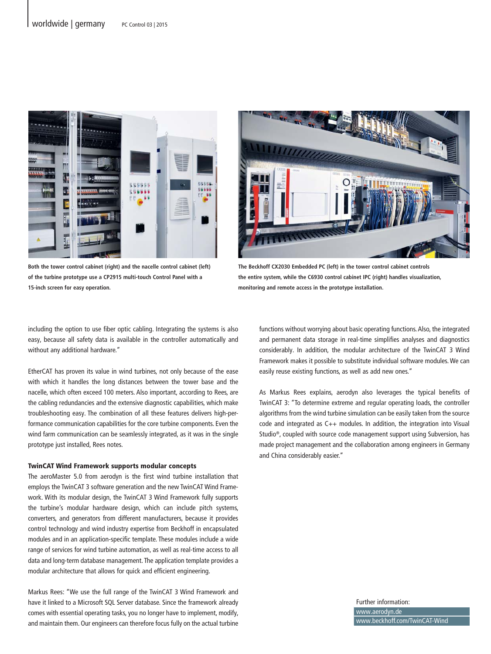

**Both the tower control cabinet (right) and the nacelle control cabinet (left) of the turbine prototype use a CP2915 multi-touch Control Panel with a 15-inch screen for easy operation.**



**The Beckhoff CX2030 Embedded PC (left) in the tower control cabinet controls the entire system, while the C6930 control cabinet IPC (right) handles visualization, monitoring and remote access in the prototype installation.**

including the option to use fiber optic cabling. Integrating the systems is also easy, because all safety data is available in the controller automatically and without any additional hardware."

EtherCAT has proven its value in wind turbines, not only because of the ease with which it handles the long distances between the tower base and the nacelle, which often exceed 100 meters. Also important, according to Rees, are the cabling redundancies and the extensive diagnostic capabilities, which make troubleshooting easy. The combination of all these features delivers high-performance communication capabilities for the core turbine components. Even the wind farm communication can be seamlessly integrated, as it was in the single prototype just installed, Rees notes.

## TwinCAT Wind Framework supports modular concepts

The aeroMaster 5.0 from aerodyn is the first wind turbine installation that employs the TwinCAT 3 software generation and the new TwinCAT Wind Framework. With its modular design, the TwinCAT 3 Wind Framework fully supports the turbine's modular hardware design, which can include pitch systems, converters, and generators from different manufacturers, because it provides control technology and wind industry expertise from Beckhoff in encapsulated modules and in an application-specific template. These modules include a wide range of services for wind turbine automation, as well as real-time access to all data and long-term database management. The application template provides a modular architecture that allows for quick and efficient engineering.

Markus Rees: "We use the full range of the TwinCAT 3 Wind Framework and have it linked to a Microsoft SQL Server database. Since the framework already comes with essential operating tasks, you no longer have to implement, modify, and maintain them. Our engineers can therefore focus fully on the actual turbine

functions without worrying about basic operating functions. Also, the integrated and permanent data storage in real-time simplifies analyses and diagnostics considerably. In addition, the modular architecture of the TwinCAT 3 Wind Framework makes it possible to substitute individual software modules. We can easily reuse existing functions, as well as add new ones."

As Markus Rees explains, aerodyn also leverages the typical benefits of TwinCAT 3: "To determine extreme and regular operating loads, the controller algorithms from the wind turbine simulation can be easily taken from the source code and integrated as C++ modules. In addition, the integration into Visual Studio®, coupled with source code management support using Subversion, has made project management and the collaboration among engineers in Germany and China considerably easier."

> Further information: www.aerodyn.de www.beckhoff.com/TwinCAT-Wind